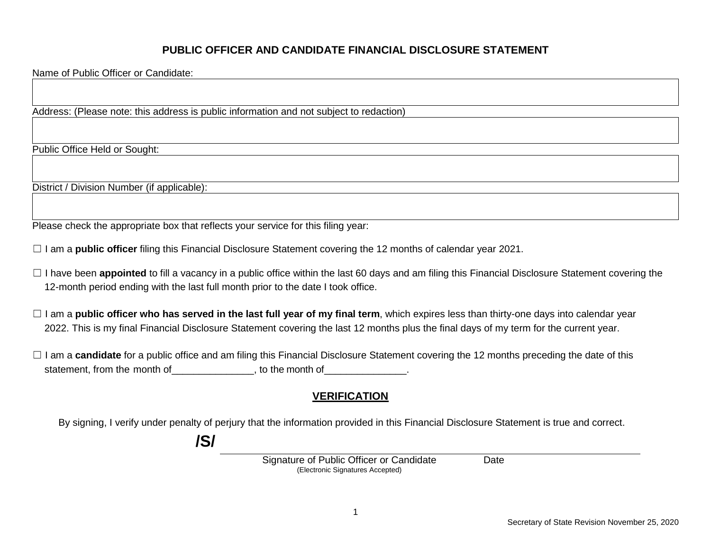# **PUBLIC OFFICER AND CANDIDATE FINANCIAL DISCLOSURE STATEMENT**

Name of Public Officer or Candidate:

Address: (Please note: this address is public information and not subject to redaction)

Public Office Held or Sought:

District / Division Number (if applicable):

Please check the appropriate box that reflects your service for this filing year:

☐ I am a **public officer** filing this Financial Disclosure Statement covering the 12 months of calendar year 2021.

- □ I have been **appointed** to fill a vacancy in a public office within the last 60 days and am filing this Financial Disclosure Statement covering the 12-month period ending with the last full month prior to the date I took office.
- □ I am a **public officer who has served in the last full year of my final term**, which expires less than thirty-one days into calendar year 2022. This is my final Financial Disclosure Statement covering the last 12 months plus the final days of my term for the current year.
- □ I am a **candidate** for a public office and am filing this Financial Disclosure Statement covering the 12 months preceding the date of this statement, from the month of \_\_\_\_\_\_\_\_\_\_\_\_\_\_\_, to the month of \_\_\_\_\_\_\_\_\_\_\_\_\_\_.

## **VERIFICATION**

By signing, I verify under penalty of perjury that the information provided in this Financial Disclosure Statement is true and correct.

# **/S/**

Signature of Public Officer or Candidate (Electronic Signatures Accepted)

**Date**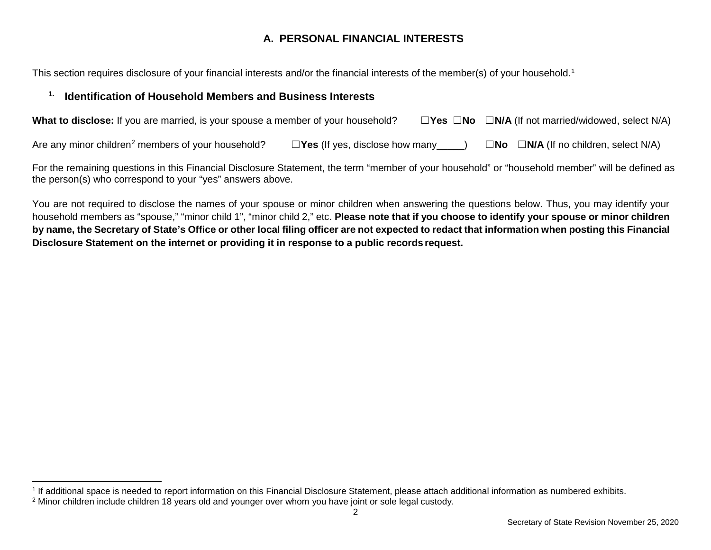# <span id="page-1-1"></span><span id="page-1-0"></span>**A. PERSONAL FINANCIAL INTERESTS**

This section requires disclosure of your financial interests and/or the financial interests of the member(s) of your household.<sup>[1](#page-1-0)</sup>

### **1. Identification of Household Members and Business Interests**

| What to disclose: If you are married, is your spouse a member of your household? |                                       | $\Box$ Yes $\Box$ No $\Box$ N/A (If not married/widowed, select N/A) |
|----------------------------------------------------------------------------------|---------------------------------------|----------------------------------------------------------------------|
| Are any minor children <sup>2</sup> members of your household?                   | $\Box$ Yes (If yes, disclose how many | $\square$ No $\square$ N/A (If no children, select N/A)              |

For the remaining questions in this Financial Disclosure Statement, the term "member of your household" or "household member" will be defined as the person(s) who correspond to your "yes" answers above.

You are not required to disclose the names of your spouse or minor children when answering the questions below. Thus, you may identify your household members as "spouse," "minor child 1", "minor child 2," etc. **Please note that if you choose to identify your spouse or minor children by name, the Secretary of State's Office or other local filing officer are not expected to redact that information when posting this Financial Disclosure Statement on the internet or providing it in response to a public records request.**

 $\overline{a}$ 

<sup>&</sup>lt;sup>1</sup> If additional space is needed to report information on this Financial Disclosure Statement, please attach additional information as numbered exhibits.

<sup>2</sup> Minor children include children 18 years old and younger over whom you have joint or sole legal custody.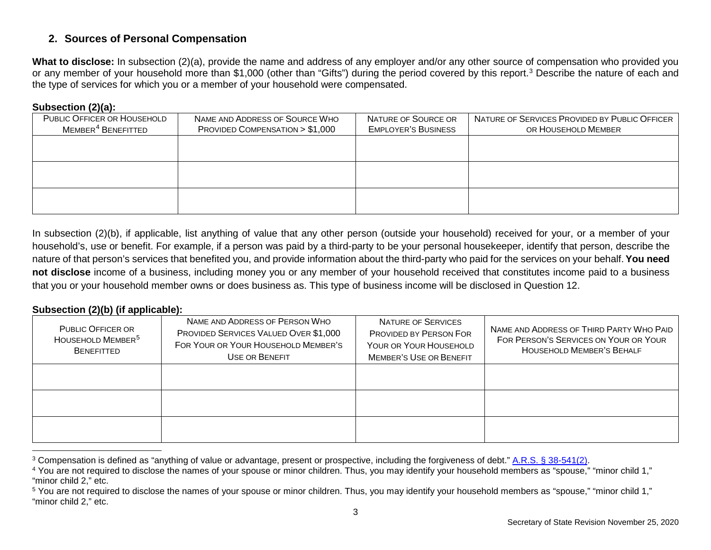### <span id="page-2-2"></span><span id="page-2-1"></span><span id="page-2-0"></span>**2. Sources of Personal Compensation**

**What to disclose:** In subsection (2)(a), provide the name and address of any employer and/or any other source of compensation who provided you or any member of your household more than \$1,000 (other than "Gifts") during the period covered by this report.<sup>[3](#page-2-0)</sup> Describe the nature of each and the type of services for which you or a member of your household were compensated.

#### **Subsection (2)(a):**

| PUBLIC OFFICER OR HOUSEHOLD<br>MEMBER <sup>4</sup> BENEFITTED | NAME AND ADDRESS OF SOURCE WHO<br>PROVIDED COMPENSATION > \$1,000 | NATURE OF SOURCE OR<br><b>EMPLOYER'S BUSINESS</b> | NATURE OF SERVICES PROVIDED BY PUBLIC OFFICER<br>OR HOUSEHOLD MEMBER |
|---------------------------------------------------------------|-------------------------------------------------------------------|---------------------------------------------------|----------------------------------------------------------------------|
|                                                               |                                                                   |                                                   |                                                                      |
|                                                               |                                                                   |                                                   |                                                                      |
|                                                               |                                                                   |                                                   |                                                                      |

In subsection (2)(b), if applicable, list anything of value that any other person (outside your household) received for your, or a member of your household's, use or benefit. For example, if a person was paid by a third-party to be your personal housekeeper, identify that person, describe the nature of that person's services that benefited you, and provide information about the third-party who paid for the services on your behalf.**You need not disclose** income of a business, including money you or any member of your household received that constitutes income paid to a business that you or your household member owns or does business as. This type of business income will be disclosed in Question 12.

#### **Subsection (2)(b) (if applicable):**

| <b>PUBLIC OFFICER OR</b><br>HOUSEHOLD MEMBER <sup>5</sup><br><b>BENEFITTED</b> | NAME AND ADDRESS OF PERSON WHO<br>PROVIDED SERVICES VALUED OVER \$1,000<br>FOR YOUR OR YOUR HOUSEHOLD MEMBER'S<br>USE OR BENEFIT | <b>NATURE OF SERVICES</b><br><b>PROVIDED BY PERSON FOR</b><br>YOUR OR YOUR HOUSEHOLD<br><b>MEMBER'S USE OR BENEFIT</b> | NAME AND ADDRESS OF THIRD PARTY WHO PAID<br>FOR PERSON'S SERVICES ON YOUR OR YOUR<br><b>HOUSEHOLD MEMBER'S BEHALF</b> |
|--------------------------------------------------------------------------------|----------------------------------------------------------------------------------------------------------------------------------|------------------------------------------------------------------------------------------------------------------------|-----------------------------------------------------------------------------------------------------------------------|
|                                                                                |                                                                                                                                  |                                                                                                                        |                                                                                                                       |
|                                                                                |                                                                                                                                  |                                                                                                                        |                                                                                                                       |
|                                                                                |                                                                                                                                  |                                                                                                                        |                                                                                                                       |
|                                                                                |                                                                                                                                  |                                                                                                                        |                                                                                                                       |

<sup>&</sup>lt;sup>3</sup> Compensation is defined as "anything of value or advantage, present or prospective, including the forgiveness of debt." [A.R.S. § 38-541\(2\).](https://www.azleg.gov/viewdocument/?docName=https://www.azleg.gov/ars/38/00541.htm)<br>4 You are not required to disclose the names of your spouse or minor children.

<sup>&</sup>quot;minor child 2," etc.

<sup>&</sup>lt;sup>5</sup> You are not required to disclose the names of your spouse or minor children. Thus, you may identify your household members as "spouse," "minor child 1," "minor child 2," etc.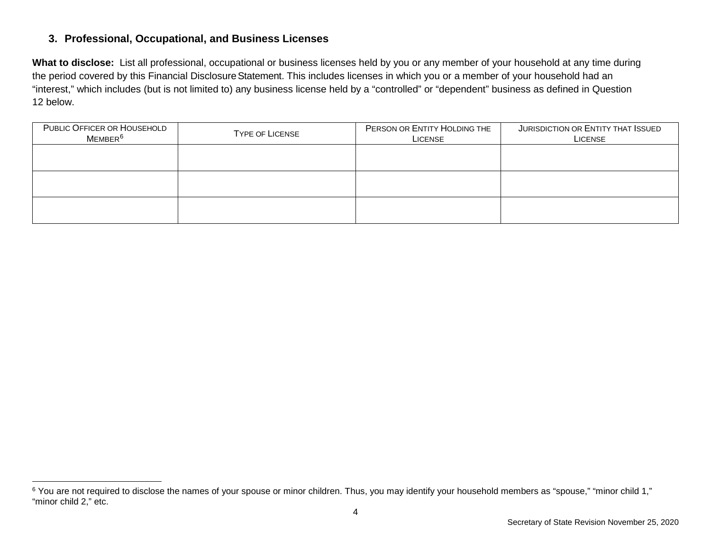### <span id="page-3-0"></span>**3. Professional, Occupational, and Business Licenses**

**What to disclose:** List all professional, occupational or business licenses held by you or any member of your household at any time during the period covered by this Financial Disclosure Statement. This includes licenses in which you or a member of your household had an "interest," which includes (but is not limited to) any business license held by a "controlled" or "dependent" business as defined in Question 12 below.

| PUBLIC OFFICER OR HOUSEHOLD<br>MEMBER <sup>6</sup> | TYPE OF LICENSE | PERSON OR ENTITY HOLDING THE<br>LICENSE | JURISDICTION OR ENTITY THAT ISSUED<br>LICENSE |
|----------------------------------------------------|-----------------|-----------------------------------------|-----------------------------------------------|
|                                                    |                 |                                         |                                               |
|                                                    |                 |                                         |                                               |
|                                                    |                 |                                         |                                               |

 $\overline{a}$  $^6$  You are not required to disclose the names of your spouse or minor children. Thus, you may identify your household members as "spouse," "minor child 1," "minor child 2," etc.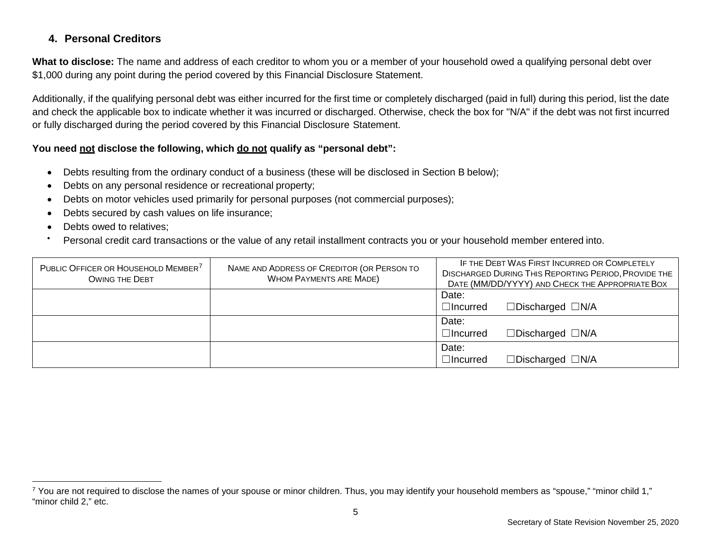# <span id="page-4-0"></span>**4. Personal Creditors**

What to disclose: The name and address of each creditor to whom you or a member of your household owed a qualifying personal debt over \$1,000 during any point during the period covered by this Financial Disclosure Statement.

Additionally, if the qualifying personal debt was either incurred for the first time or completely discharged (paid in full) during this period, list the date and check the applicable box to indicate whether it was incurred or discharged. Otherwise, check the box for "N/A" if the debt was not first incurred or fully discharged during the period covered by this Financial Disclosure Statement.

#### **You need not disclose the following, which do not qualify as "personal debt":**

- Debts resulting from the ordinary conduct of a business (these will be disclosed in Section B below);
- Debts on any personal residence or recreational property;
- Debts on motor vehicles used primarily for personal purposes (not commercial purposes);
- Debts secured by cash values on life insurance;
- Debts owed to relatives;
- Personal credit card transactions or the value of any retail installment contracts you or your household member entered into.

| PUBLIC OFFICER OR HOUSEHOLD MEMBER <sup>7</sup><br><b>OWING THE DEBT</b> | NAME AND ADDRESS OF CREDITOR (OR PERSON TO<br><b>WHOM PAYMENTS ARE MADE)</b> | IF THE DEBT WAS FIRST INCURRED OR COMPLETELY<br><b>DISCHARGED DURING THIS REPORTING PERIOD, PROVIDE THE</b><br>DATE (MM/DD/YYYY) AND CHECK THE APPROPRIATE BOX |                              |
|--------------------------------------------------------------------------|------------------------------------------------------------------------------|----------------------------------------------------------------------------------------------------------------------------------------------------------------|------------------------------|
|                                                                          |                                                                              | Date:                                                                                                                                                          |                              |
|                                                                          |                                                                              | $\Box$ Incurred                                                                                                                                                | $\Box$ Discharged $\Box$ N/A |
|                                                                          |                                                                              | Date:                                                                                                                                                          |                              |
|                                                                          |                                                                              | $\Box$ Incurred                                                                                                                                                | $\Box$ Discharged $\Box$ N/A |
|                                                                          |                                                                              | Date:                                                                                                                                                          |                              |
|                                                                          |                                                                              | $\Box$ Incurred                                                                                                                                                | $\Box$ Discharged $\Box$ N/A |

 $\overline{a}$ <sup>7</sup> You are not required to disclose the names of your spouse or minor children. Thus, you may identify your household members as "spouse," "minor child 1," "minor child 2," etc.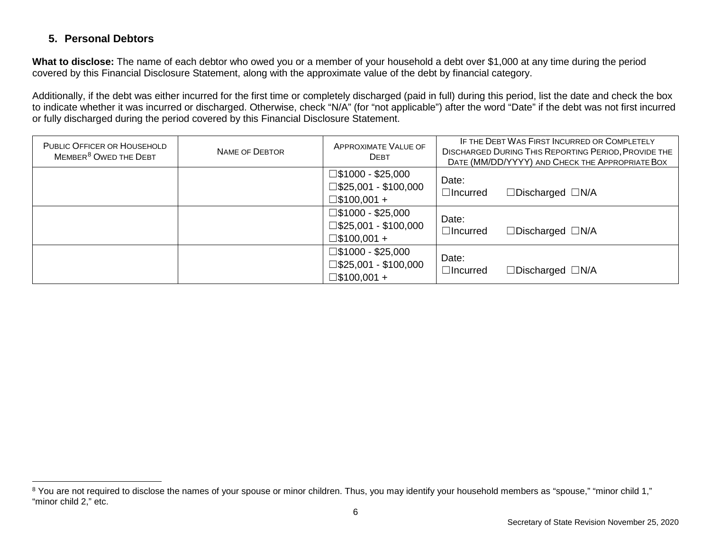# <span id="page-5-0"></span>**5. Personal Debtors**

**What to disclose:** The name of each debtor who owed you or a member of your household a debt over \$1,000 at any time during the period covered by this Financial Disclosure Statement, along with the approximate value of the debt by financial category.

Additionally, if the debt was either incurred for the first time or completely discharged (paid in full) during this period, list the date and check the box to indicate whether it was incurred or discharged. Otherwise, check "N/A" (for "not applicable") after the word "Date" if the debt was not first incurred or fully discharged during the period covered by this Financial Disclosure Statement.

| PUBLIC OFFICER OR HOUSEHOLD<br>MEMBER <sup>8</sup> OWED THE DEBT | <b>NAME OF DEBTOR</b> | APPROXIMATE VALUE OF<br><b>DEBT</b>                                                    | IF THE DEBT WAS FIRST INCURRED OR COMPLETELY<br><b>DISCHARGED DURING THIS REPORTING PERIOD, PROVIDE THE</b><br>DATE (MM/DD/YYYY) AND CHECK THE APPROPRIATE BOX |
|------------------------------------------------------------------|-----------------------|----------------------------------------------------------------------------------------|----------------------------------------------------------------------------------------------------------------------------------------------------------------|
|                                                                  |                       | $\square$ \$1000 - \$25,000<br>$\square$ \$25,001 - \$100,000<br>$\square$ \$100,001 + | Date:<br>$\Box$ Discharged $\Box$ N/A<br>$\Box$ Incurred                                                                                                       |
|                                                                  |                       | $\square$ \$1000 - \$25,000<br>$\square$ \$25,001 - \$100,000<br>$\square$ \$100,001 + | Date:<br>$\Box$ Discharged $\Box$ N/A<br>$\Box$ Incurred                                                                                                       |
|                                                                  |                       | $\square$ \$1000 - \$25,000<br>$\square$ \$25,001 - \$100,000<br>$\square$ \$100,001 + | Date:<br>$\Box$ Discharged $\Box$ N/A<br>$\Box$ Incurred                                                                                                       |

 $\overline{a}$ <sup>8</sup> You are not required to disclose the names of your spouse or minor children. Thus, you may identify your household members as "spouse," "minor child 1," "minor child 2," etc.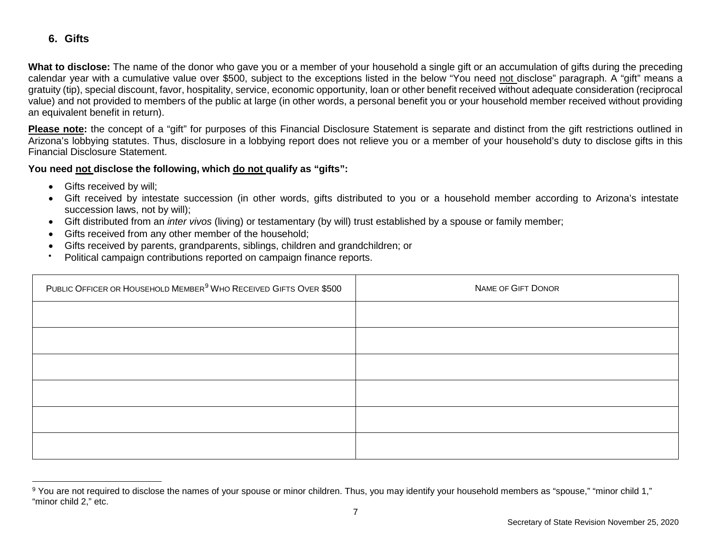#### <span id="page-6-0"></span>**6. Gifts**

**What to disclose:** The name of the donor who gave you or a member of your household a single gift or an accumulation of gifts during the preceding calendar year with a cumulative value over \$500, subject to the exceptions listed in the below "You need not disclose" paragraph. A "gift" means a gratuity (tip), special discount, favor, hospitality, service, economic opportunity, loan or other benefit received without adequate consideration (reciprocal value) and not provided to members of the public at large (in other words, a personal benefit you or your household member received without providing an equivalent benefit in return).

**Please note:** the concept of a "gift" for purposes of this Financial Disclosure Statement is separate and distinct from the gift restrictions outlined in Arizona's lobbying statutes. Thus, disclosure in a lobbying report does not relieve you or a member of your household's duty to disclose gifts in this Financial Disclosure Statement.

**You need not disclose the following, which do not qualify as "gifts":** 

- Gifts received by will:
- Gift received by intestate succession (in other words, gifts distributed to you or a household member according to Arizona's intestate succession laws, not by will);
- Gift distributed from an *inter vivos* (living) or testamentary (by will) trust established by a spouse or family member;
- Gifts received from any other member of the household;
- Gifts received by parents, grandparents, siblings, children and grandchildren; or
- Political campaign contributions reported on campaign finance reports.

| PUBLIC OFFICER OR HOUSEHOLD MEMBER <sup>9</sup> WHO RECEIVED GIFTS OVER \$500 | NAME OF GIFT DONOR |
|-------------------------------------------------------------------------------|--------------------|
|                                                                               |                    |
|                                                                               |                    |
|                                                                               |                    |
|                                                                               |                    |
|                                                                               |                    |
|                                                                               |                    |

 $\overline{a}$ <sup>9</sup> You are not required to disclose the names of your spouse or minor children. Thus, you may identify your household members as "spouse," "minor child 1," "minor child 2," etc.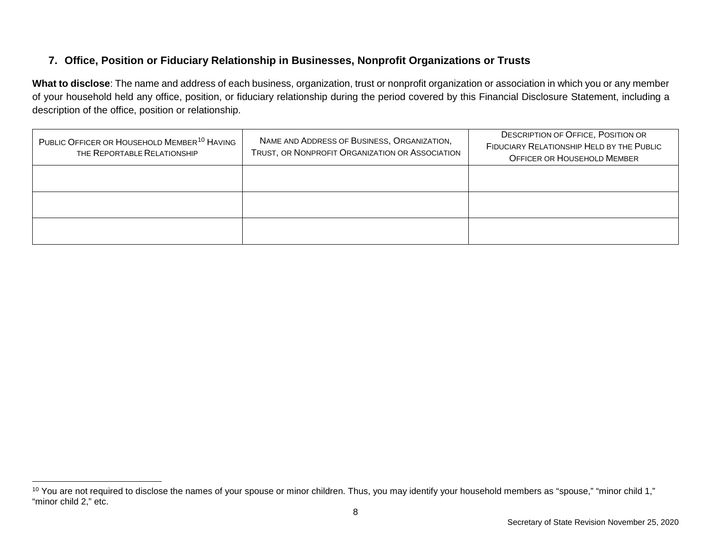# <span id="page-7-0"></span>**7. Office, Position or Fiduciary Relationship in Businesses, Nonprofit Organizations or Trusts**

**What to disclose**: The name and address of each business, organization, trust or nonprofit organization or association in which you or any member of your household held any office, position, or fiduciary relationship during the period covered by this Financial Disclosure Statement, including a description of the office, position or relationship.

| PUBLIC OFFICER OR HOUSEHOLD MEMBER <sup>10</sup> HAVING<br>THE REPORTABLE RELATIONSHIP | NAME AND ADDRESS OF BUSINESS, ORGANIZATION,<br>TRUST, OR NONPROFIT ORGANIZATION OR ASSOCIATION | <b>DESCRIPTION OF OFFICE, POSITION OR</b><br>FIDUCIARY RELATIONSHIP HELD BY THE PUBLIC<br><b>OFFICER OR HOUSEHOLD MEMBER</b> |
|----------------------------------------------------------------------------------------|------------------------------------------------------------------------------------------------|------------------------------------------------------------------------------------------------------------------------------|
|                                                                                        |                                                                                                |                                                                                                                              |
|                                                                                        |                                                                                                |                                                                                                                              |
|                                                                                        |                                                                                                |                                                                                                                              |

 $\overline{a}$  $^{10}$  You are not required to disclose the names of your spouse or minor children. Thus, you may identify your household members as "spouse," "minor child 1," "minor child 2," etc.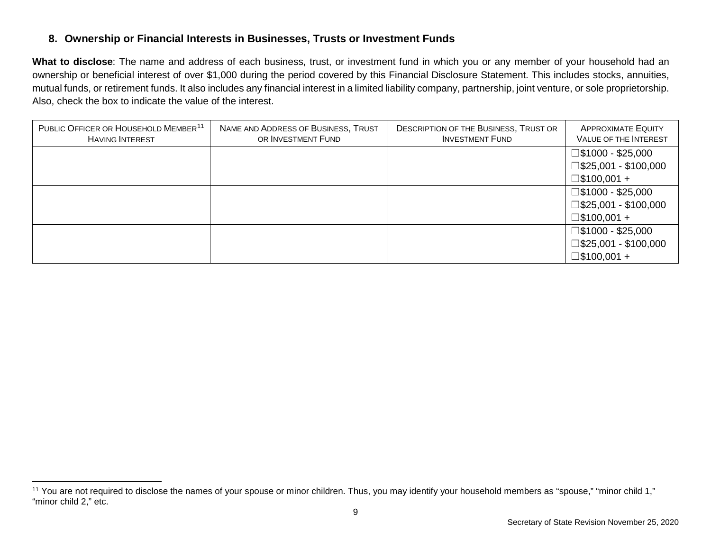### <span id="page-8-0"></span>**8. Ownership or Financial Interests in Businesses, Trusts or Investment Funds**

**What to disclose**: The name and address of each business, trust, or investment fund in which you or any member of your household had an ownership or beneficial interest of over \$1,000 during the period covered by this Financial Disclosure Statement. This includes stocks, annuities, mutual funds, or retirement funds. It also includes any financial interest in a limited liability company, partnership, joint venture, or sole proprietorship. Also, check the box to indicate the value of the interest.

| PUBLIC OFFICER OR HOUSEHOLD MEMBER <sup>11</sup><br><b>HAVING INTEREST</b> | NAME AND ADDRESS OF BUSINESS, TRUST<br>OR INVESTMENT FUND | <b>DESCRIPTION OF THE BUSINESS, TRUST OR</b><br><b>INVESTMENT FUND</b> | <b>APPROXIMATE EQUITY</b><br>VALUE OF THE INTEREST |
|----------------------------------------------------------------------------|-----------------------------------------------------------|------------------------------------------------------------------------|----------------------------------------------------|
|                                                                            |                                                           |                                                                        | $\square$ \$1000 - \$25,000                        |
|                                                                            |                                                           |                                                                        | $\square$ \$25,001 - \$100,000                     |
|                                                                            |                                                           |                                                                        | $\square$ \$100,001 +                              |
|                                                                            |                                                           |                                                                        | $\square$ \$1000 - \$25,000                        |
|                                                                            |                                                           |                                                                        | $\square$ \$25,001 - \$100,000                     |
|                                                                            |                                                           |                                                                        | $\square$ \$100,001 +                              |
|                                                                            |                                                           |                                                                        | $\square$ \$1000 - \$25,000                        |
|                                                                            |                                                           |                                                                        | $\square$ \$25,001 - \$100,000                     |
|                                                                            |                                                           |                                                                        | $\square$ \$100,001 +                              |

 $\overline{a}$ <sup>11</sup> You are not required to disclose the names of your spouse or minor children. Thus, you may identify your household members as "spouse," "minor child 1," "minor child 2," etc.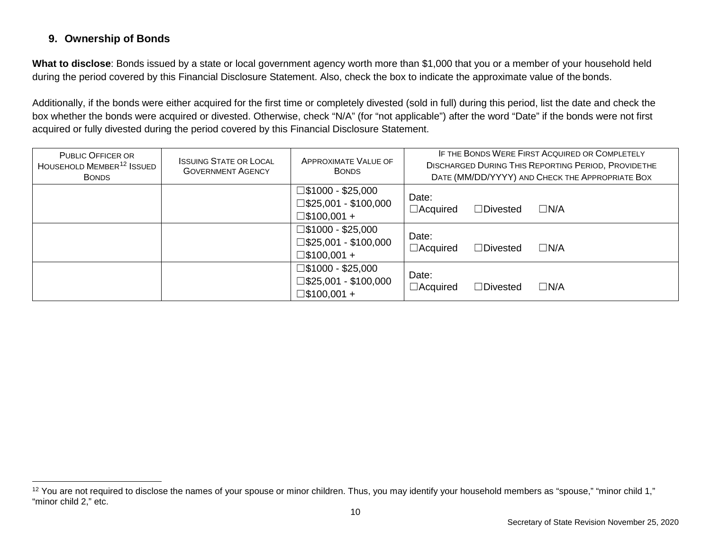# <span id="page-9-0"></span>**9. Ownership of Bonds**

**What to disclose**: Bonds issued by a state or local government agency worth more than \$1,000 that you or a member of your household held during the period covered by this Financial Disclosure Statement. Also, check the box to indicate the approximate value of the bonds.

Additionally, if the bonds were either acquired for the first time or completely divested (sold in full) during this period, list the date and check the box whether the bonds were acquired or divested. Otherwise, check "N/A" (for "not applicable") after the word "Date" if the bonds were not first acquired or fully divested during the period covered by this Financial Disclosure Statement.

| <b>PUBLIC OFFICER OR</b><br>HOUSEHOLD MEMBER <sup>12</sup> ISSUED<br><b>BONDS</b> | <b>ISSUING STATE OR LOCAL</b><br><b>GOVERNMENT AGENCY</b> | <b>APPROXIMATE VALUE OF</b><br><b>BONDS</b>                                            | IF THE BONDS WERE FIRST ACQUIRED OR COMPLETELY<br><b>DISCHARGED DURING THIS REPORTING PERIOD, PROVIDETHE</b><br>DATE (MM/DD/YYYY) AND CHECK THE APPROPRIATE BOX |                    |            |
|-----------------------------------------------------------------------------------|-----------------------------------------------------------|----------------------------------------------------------------------------------------|-----------------------------------------------------------------------------------------------------------------------------------------------------------------|--------------------|------------|
|                                                                                   |                                                           | $\square$ \$1000 - \$25,000<br>$\square$ \$25,001 - \$100,000<br>$\square$ \$100,001 + | Date:<br>$\Box$ Acquired                                                                                                                                        | $\square$ Divested | $\Box N/A$ |
|                                                                                   |                                                           | $\square$ \$1000 - \$25,000<br>$\square$ \$25,001 - \$100,000<br>$\square$ \$100,001 + | Date:<br>$\Box$ Acquired                                                                                                                                        | $\Box$ Divested    | $\Box N/A$ |
|                                                                                   |                                                           | $\square$ \$1000 - \$25,000<br>$\square$ \$25,001 - \$100,000<br>$\Box$ \$100,001 +    | Date:<br>$\Box$ Acquired                                                                                                                                        | $\Box$ Divested    | $\Box N/A$ |

 $\overline{a}$  $12$  You are not required to disclose the names of your spouse or minor children. Thus, you may identify your household members as "spouse," "minor child 1," "minor child 2," etc.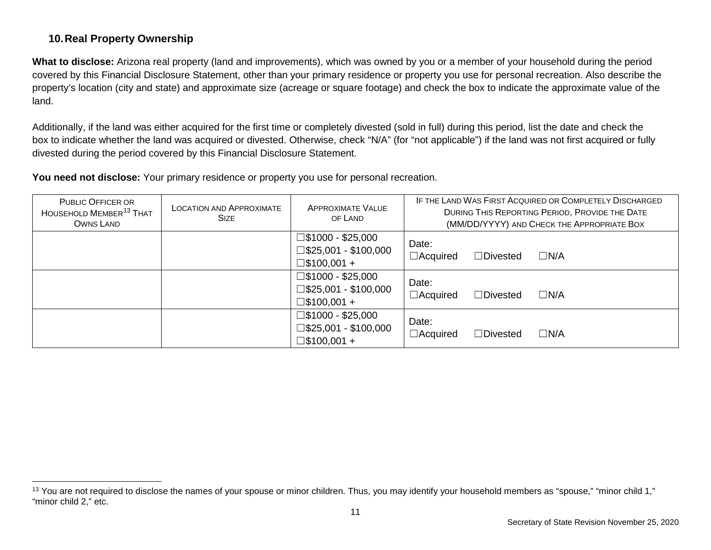### <span id="page-10-0"></span>**10.Real Property Ownership**

What to disclose: Arizona real property (land and improvements), which was owned by you or a member of your household during the period covered by this Financial Disclosure Statement, other than your primary residence or property you use for personal recreation. Also describe the property's location (city and state) and approximate size (acreage or square footage) and check the box to indicate the approximate value of the land.

Additionally, if the land was either acquired for the first time or completely divested (sold in full) during this period, list the date and check the box to indicate whether the land was acquired or divested. Otherwise, check "N/A" (for "not applicable") if the land was not first acquired or fully divested during the period covered by this Financial Disclosure Statement.

**You need not disclose:** Your primary residence or property you use for personal recreation.

| PUBLIC OFFICER OR<br>HOUSEHOLD MEMBER <sup>13</sup> THAT<br><b>OWNS LAND</b> | <b>LOCATION AND APPROXIMATE</b><br><b>SIZE</b> | <b>APPROXIMATE VALUE</b><br>OF LAND                                                    | IF THE LAND WAS FIRST ACQUIRED OR COMPLETELY DISCHARGED<br>DURING THIS REPORTING PERIOD, PROVIDE THE DATE<br>(MM/DD/YYYY) AND CHECK THE APPROPRIATE BOX |                 |               |
|------------------------------------------------------------------------------|------------------------------------------------|----------------------------------------------------------------------------------------|---------------------------------------------------------------------------------------------------------------------------------------------------------|-----------------|---------------|
|                                                                              |                                                | $\square$ \$1000 - \$25,000<br>$\square$ \$25,001 - \$100,000<br>$\square$ \$100,001 + | Date:<br>$\Box$ Acquired                                                                                                                                | $\Box$ Divested | $\Box N/A$    |
|                                                                              |                                                | $\Box$ \$1000 - \$25,000<br>$\square$ \$25,001 - \$100,000<br>$\square$ \$100,001 +    | Date:<br>$\Box$ Acquired                                                                                                                                | $\Box$ Divested | $\square$ N/A |
|                                                                              |                                                | $\square$ \$1000 - \$25,000<br>$\square$ \$25,001 - \$100,000<br>$\Box$ \$100,001 +    | Date:<br>$\Box$ Acquired                                                                                                                                | $\Box$ Divested | $\Box N/A$    |

 $\overline{a}$ <sup>13</sup> You are not required to disclose the names of your spouse or minor children. Thus, you may identify your household members as "spouse," "minor child 1," "minor child 2," etc.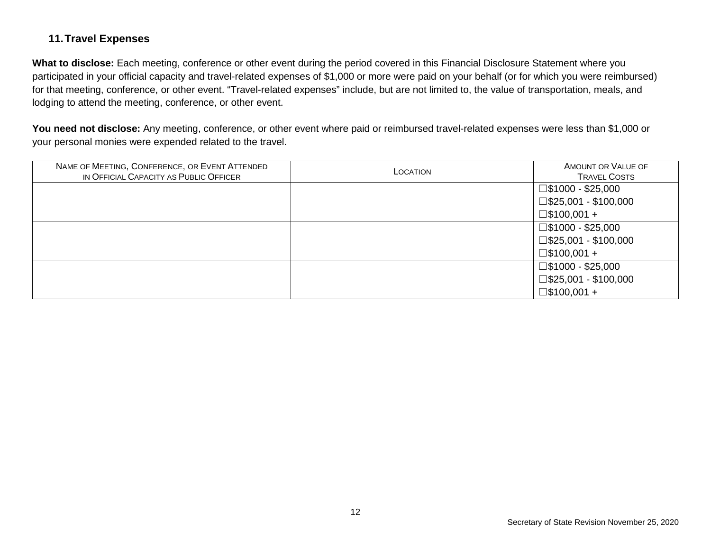### **11.Travel Expenses**

What to disclose: Each meeting, conference or other event during the period covered in this Financial Disclosure Statement where you participated in your official capacity and travel-related expenses of \$1,000 or more were paid on your behalf (or for which you were reimbursed) for that meeting, conference, or other event. "Travel-related expenses" include, but are not limited to, the value of transportation, meals, and lodging to attend the meeting, conference, or other event.

You need not disclose: Any meeting, conference, or other event where paid or reimbursed travel-related expenses were less than \$1,000 or your personal monies were expended related to the travel.

| NAME OF MEETING, CONFERENCE, OR EVENT ATTENDED<br>IN OFFICIAL CAPACITY AS PUBLIC OFFICER | LOCATION | AMOUNT OR VALUE OF<br><b>TRAVEL COSTS</b> |
|------------------------------------------------------------------------------------------|----------|-------------------------------------------|
|                                                                                          |          | $\square$ \$1000 - \$25,000               |
|                                                                                          |          | $\square$ \$25,001 - \$100,000            |
|                                                                                          |          | $\square$ \$100,001 +                     |
|                                                                                          |          | $\square$ \$1000 - \$25,000               |
|                                                                                          |          | $\square$ \$25,001 - \$100,000            |
|                                                                                          |          | $\square$ \$100,001 +                     |
|                                                                                          |          | $\square$ \$1000 - \$25,000               |
|                                                                                          |          | $\square$ \$25,001 - \$100,000            |
|                                                                                          |          | $\square$ \$100,001 +                     |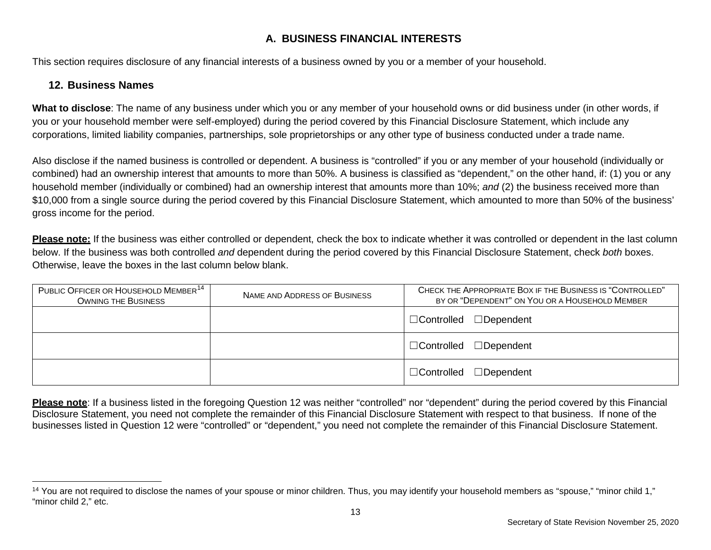# <span id="page-12-0"></span>**A. BUSINESS FINANCIAL INTERESTS**

This section requires disclosure of any financial interests of a business owned by you or a member of your household.

#### **12. Business Names**

**What to disclose**: The name of any business under which you or any member of your household owns or did business under (in other words, if you or your household member were self-employed) during the period covered by this Financial Disclosure Statement, which include any corporations, limited liability companies, partnerships, sole proprietorships or any other type of business conducted under a trade name.

Also disclose if the named business is controlled or dependent. A business is "controlled" if you or any member of your household (individually or combined) had an ownership interest that amounts to more than 50%. A business is classified as "dependent," on the other hand, if: (1) you or any household member (individually or combined) had an ownership interest that amounts more than 10%; *and* (2) the business received more than \$10,000 from a single source during the period covered by this Financial Disclosure Statement, which amounted to more than 50% of the business' gross income for the period.

**Please note:** If the business was either controlled or dependent, check the box to indicate whether it was controlled or dependent in the last column below. If the business was both controlled *and* dependent during the period covered by this Financial Disclosure Statement, check *both* boxes. Otherwise, leave the boxes in the last column below blank.

| PUBLIC OFFICER OR HOUSEHOLD MEMBER <sup>14</sup><br><b>OWNING THE BUSINESS</b> | NAME AND ADDRESS OF BUSINESS | CHECK THE APPROPRIATE BOX IF THE BUSINESS IS "CONTROLLED"<br>BY OR "DEPENDENT" ON YOU OR A HOUSEHOLD MEMBER |  |
|--------------------------------------------------------------------------------|------------------------------|-------------------------------------------------------------------------------------------------------------|--|
|                                                                                |                              | $\Box$ Controlled $\Box$ Dependent                                                                          |  |
|                                                                                |                              | $\Box$ Controlled<br>$\Box$ Dependent                                                                       |  |
|                                                                                |                              | $\Box$ Controlled<br>$\Box$ Dependent                                                                       |  |

**Please note**: If a business listed in the foregoing Question 12 was neither "controlled" nor "dependent" during the period covered by this Financial Disclosure Statement, you need not complete the remainder of this Financial Disclosure Statement with respect to that business. If none of the businesses listed in Question 12 were "controlled" or "dependent," you need not complete the remainder of this Financial Disclosure Statement.

 $\overline{a}$ <sup>14</sup> You are not required to disclose the names of your spouse or minor children. Thus, you may identify your household members as "spouse," "minor child 1," "minor child 2," etc.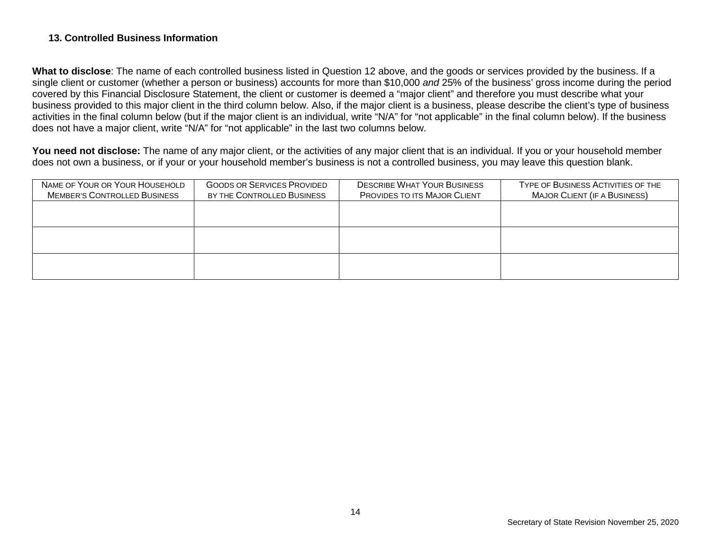#### **13. Controlled Business Information**

**What to disclose**: The name of each controlled business listed in Question 12 above, and the goods or services provided by the business. If a single client or customer (whether a person or business) accounts for more than \$10,000 *and* 25% of the business' gross income during the period covered by this Financial Disclosure Statement, the client or customer is deemed a "major client" and therefore you must describe what your business provided to this major client in the third column below. Also, if the major client is a business, please describe the client's type of business activities in the final column below (but if the major client is an individual, write "N/A" for "not applicable" in the final column below). If the business does not have a major client, write "N/A" for "not applicable" in the last two columns below.

You need not disclose: The name of any major client, or the activities of any major client that is an individual. If you or your household member does not own a business, or if your or your household member's business is not a controlled business, you may leave this question blank.

| NAME OF YOUR OR YOUR HOUSEHOLD<br><b>MEMBER'S CONTROLLED BUSINESS</b> | <b>GOODS OR SERVICES PROVIDED</b><br>BY THE CONTROLLED BUSINESS | <b>DESCRIBE WHAT YOUR BUSINESS</b><br>PROVIDES TO ITS MAJOR CLIENT | TYPE OF BUSINESS ACTIVITIES OF THE<br><b>MAJOR CLIENT (IF A BUSINESS)</b> |  |
|-----------------------------------------------------------------------|-----------------------------------------------------------------|--------------------------------------------------------------------|---------------------------------------------------------------------------|--|
|                                                                       |                                                                 |                                                                    |                                                                           |  |
|                                                                       |                                                                 |                                                                    |                                                                           |  |
|                                                                       |                                                                 |                                                                    |                                                                           |  |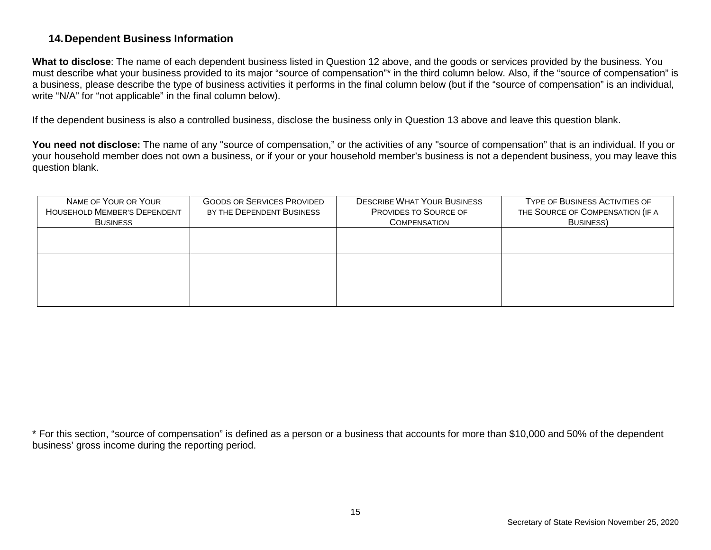### **14.Dependent Business Information**

**What to disclose**: The name of each dependent business listed in Question 12 above, and the goods or services provided by the business. You must describe what your business provided to its major "source of compensation"\* in the third column below. Also, if the "source of compensation" is a business, please describe the type of business activities it performs in the final column below (but if the "source of compensation" is an individual, write "N/A" for "not applicable" in the final column below).

If the dependent business is also a controlled business, disclose the business only in Question 13 above and leave this question blank.

You need not disclose: The name of any "source of compensation," or the activities of any "source of compensation" that is an individual. If you or your household member does not own a business, or if your or your household member's business is not a dependent business, you may leave this question blank.

| NAME OF YOUR OR YOUR<br><b>HOUSEHOLD MEMBER'S DEPENDENT</b><br><b>BUSINESS</b> | <b>GOODS OR SERVICES PROVIDED</b><br>BY THE DEPENDENT BUSINESS | <b>DESCRIBE WHAT YOUR BUSINESS</b><br><b>PROVIDES TO SOURCE OF</b><br><b>COMPENSATION</b> | <b>TYPE OF BUSINESS ACTIVITIES OF</b><br>THE SOURCE OF COMPENSATION (IF A<br><b>BUSINESS)</b> |
|--------------------------------------------------------------------------------|----------------------------------------------------------------|-------------------------------------------------------------------------------------------|-----------------------------------------------------------------------------------------------|
|                                                                                |                                                                |                                                                                           |                                                                                               |
|                                                                                |                                                                |                                                                                           |                                                                                               |
|                                                                                |                                                                |                                                                                           |                                                                                               |

\* For this section, "source of compensation" is defined as a person or a business that accounts for more than \$10,000 and 50% of the dependent business' gross income during the reporting period.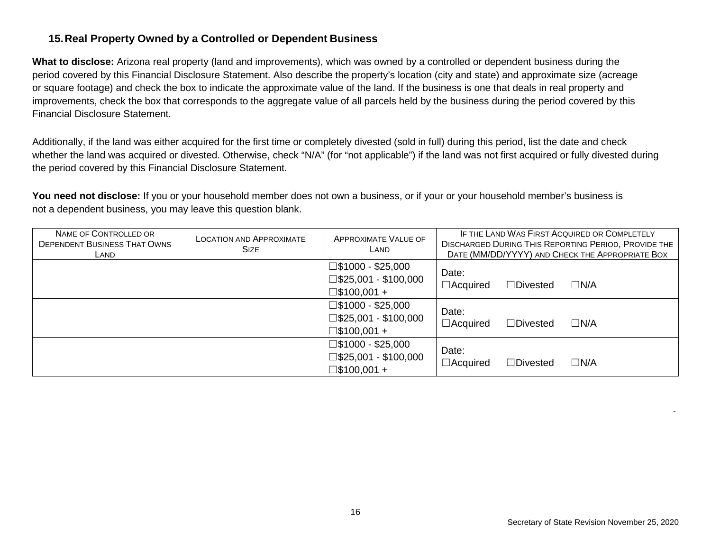### **15.Real Property Owned by a Controlled or Dependent Business**

**What to disclose:** Arizona real property (land and improvements), which was owned by a controlled or dependent business during the period covered by this Financial Disclosure Statement. Also describe the property's location (city and state) and approximate size (acreage or square footage) and check the box to indicate the approximate value of the land. If the business is one that deals in real property and improvements, check the box that corresponds to the aggregate value of all parcels held by the business during the period covered by this Financial Disclosure Statement.

Additionally, if the land was either acquired for the first time or completely divested (sold in full) during this period, list the date and check whether the land was acquired or divested. Otherwise, check "N/A" (for "not applicable") if the land was not first acquired or fully divested during the period covered by this Financial Disclosure Statement.

You need not disclose: If you or your household member does not own a business, or if your or your household member's business is not a dependent business, you may leave this question blank.

| NAME OF CONTROLLED OR<br><b>DEPENDENT BUSINESS THAT OWNS</b><br>LAND | <b>LOCATION AND APPROXIMATE</b><br><b>SIZE</b> | APPROXIMATE VALUE OF<br>LAND                                                           | IF THE LAND WAS FIRST ACQUIRED OR COMPLETELY<br><b>DISCHARGED DURING THIS REPORTING PERIOD, PROVIDE THE</b><br>DATE (MM/DD/YYYY) AND CHECK THE APPROPRIATE BOX |  |  |
|----------------------------------------------------------------------|------------------------------------------------|----------------------------------------------------------------------------------------|----------------------------------------------------------------------------------------------------------------------------------------------------------------|--|--|
|                                                                      |                                                | $\square$ \$1000 - \$25,000<br>$\square$ \$25,001 - \$100,000<br>$\square$ \$100,001 + | Date:<br>$\Box N/A$<br>$\Box$ Divested<br>$\Box$ Acquired                                                                                                      |  |  |
|                                                                      |                                                | $\square$ \$1000 - \$25,000<br>$\square$ \$25,001 - \$100,000<br>$\square$ \$100,001 + | Date:<br>$\square$ N/A<br>$\Box$ Acquired<br>$\square$ Divested                                                                                                |  |  |
|                                                                      |                                                | $\square$ \$1000 - \$25,000<br>$\square$ \$25,001 - \$100,000<br>$\square$ \$100,001 + | Date:<br>$\Box N/A$<br>$\Box$ Acquired<br>$\Box$ Divested                                                                                                      |  |  |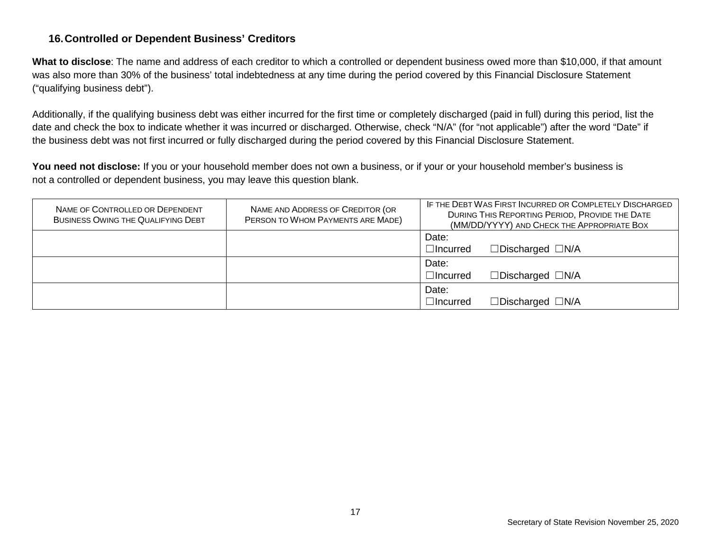#### **16.Controlled or Dependent Business' Creditors**

**What to disclose**: The name and address of each creditor to which a controlled or dependent business owed more than \$10,000, if that amount was also more than 30% of the business' total indebtedness at any time during the period covered by this Financial Disclosure Statement ("qualifying business debt").

Additionally, if the qualifying business debt was either incurred for the first time or completely discharged (paid in full) during this period, list the date and check the box to indicate whether it was incurred or discharged. Otherwise, check "N/A" (for "not applicable") after the word "Date" if the business debt was not first incurred or fully discharged during the period covered by this Financial Disclosure Statement.

You need not disclose: If you or your household member does not own a business, or if your or your household member's business is not a controlled or dependent business, you may leave this question blank.

| NAME OF CONTROLLED OR DEPENDENT<br>BUSINESS OWING THE QUALIFYING DEBT | NAME AND ADDRESS OF CREDITOR (OR<br>PERSON TO WHOM PAYMENTS ARE MADE) | IF THE DEBT WAS FIRST INCURRED OR COMPLETELY DISCHARGED<br>DURING THIS REPORTING PERIOD, PROVIDE THE DATE<br>(MM/DD/YYYY) AND CHECK THE APPROPRIATE BOX |  |
|-----------------------------------------------------------------------|-----------------------------------------------------------------------|---------------------------------------------------------------------------------------------------------------------------------------------------------|--|
|                                                                       |                                                                       | Date:                                                                                                                                                   |  |
|                                                                       |                                                                       | $\Box$ Incurred<br>$\Box$ Discharged $\Box$ N/A                                                                                                         |  |
|                                                                       |                                                                       | Date:                                                                                                                                                   |  |
|                                                                       |                                                                       | $\Box$ Incurred<br>$\Box$ Discharged $\Box$ N/A                                                                                                         |  |
|                                                                       |                                                                       | Date:                                                                                                                                                   |  |
|                                                                       |                                                                       | $\Box$ Discharged $\Box$ N/A<br>$\Box$ Incurred                                                                                                         |  |